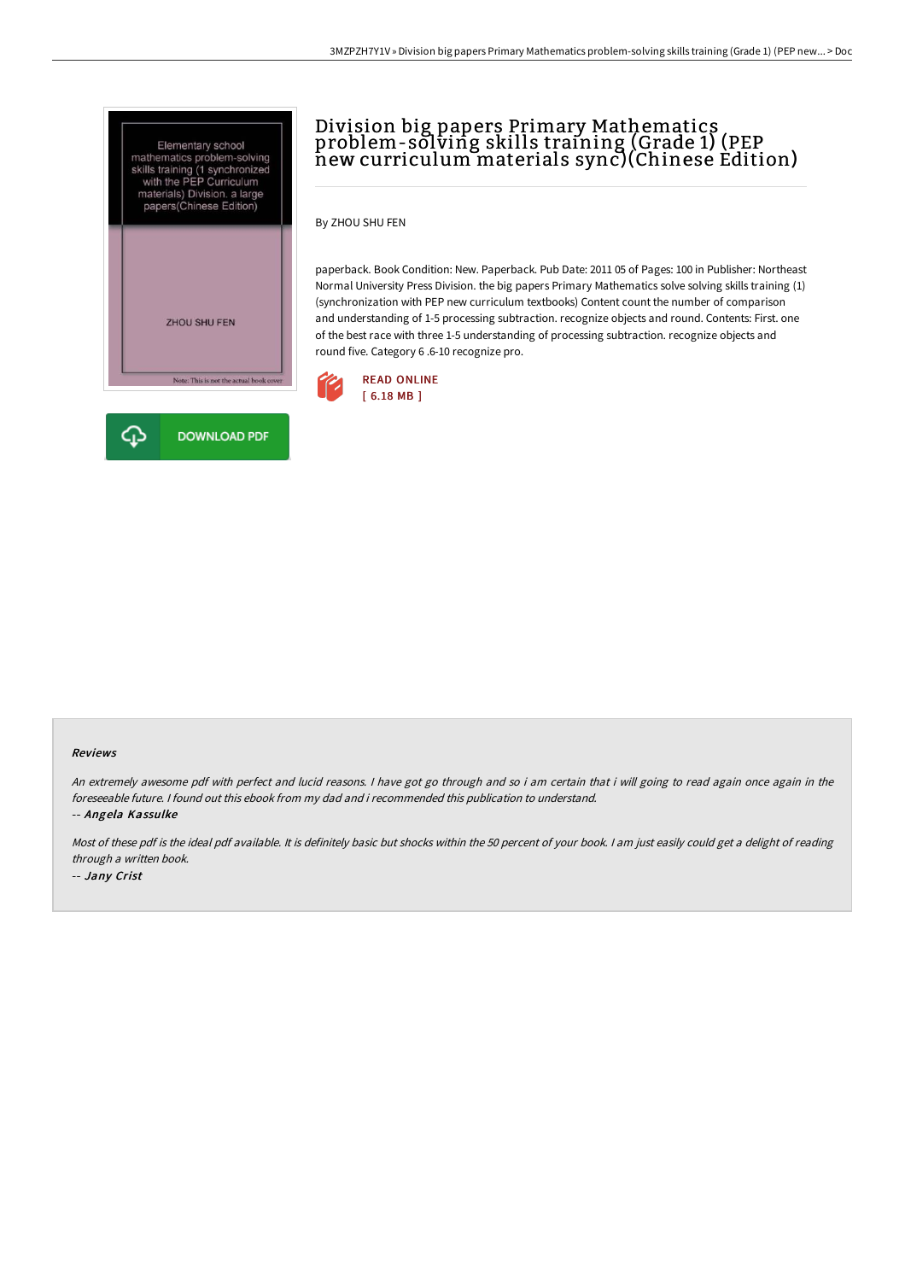



# Division big papers Primary Mathematics problem-solving skills training (Grade 1) (PEP new curriculum materials sync)(Chinese Edition)

By ZHOU SHU FEN

paperback. Book Condition: New. Paperback. Pub Date: 2011 05 of Pages: 100 in Publisher: Northeast Normal University Press Division. the big papers Primary Mathematics solve solving skills training (1) (synchronization with PEP new curriculum textbooks) Content count the number of comparison and understanding of 1-5 processing subtraction. recognize objects and round. Contents: First. one of the best race with three 1-5 understanding of processing subtraction. recognize objects and round five. Category 6 .6-10 recognize pro.



#### Reviews

An extremely awesome pdf with perfect and lucid reasons. <sup>I</sup> have got go through and so i am certain that i will going to read again once again in the foreseeable future. I found out this ebook from my dad and i recommended this publication to understand. -- Angela Kassulke

Most of these pdf is the ideal pdf available. It is definitely basic but shocks within the <sup>50</sup> percent of your book. <sup>I</sup> am just easily could get <sup>a</sup> delight of reading through <sup>a</sup> written book. -- Jany Crist